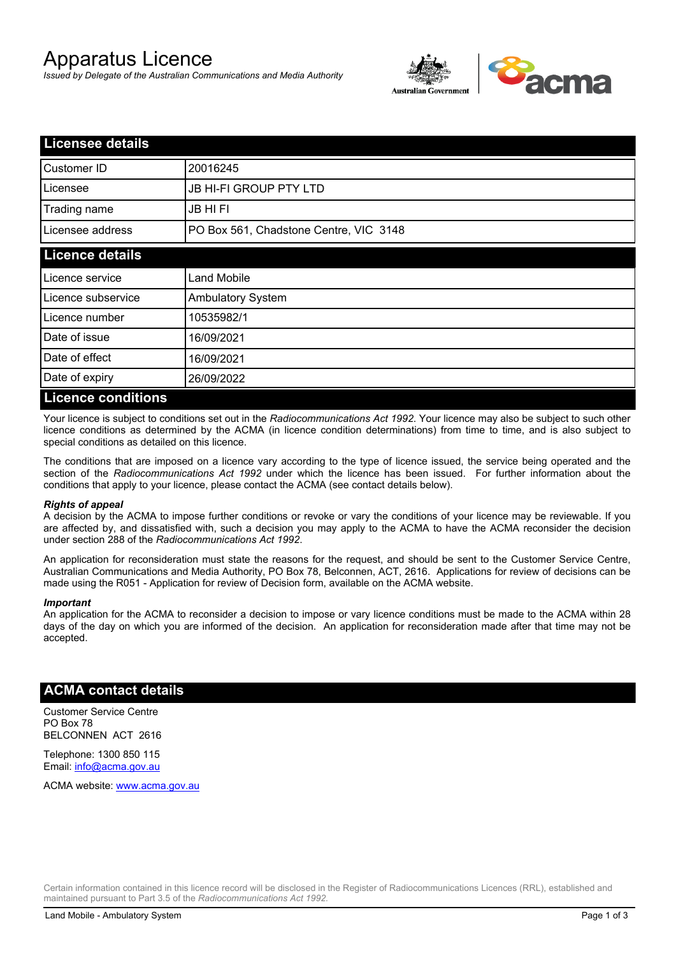# Apparatus Licence

*Issued by Delegate of the Australian Communications and Media Authority*



| <b>Licensee details</b>   |                                        |  |
|---------------------------|----------------------------------------|--|
| Customer ID               | 20016245                               |  |
| Licensee                  | <b>JB HI-FI GROUP PTY LTD</b>          |  |
| Trading name              | <b>JB HIFI</b>                         |  |
| Licensee address          | PO Box 561, Chadstone Centre, VIC 3148 |  |
| <b>Licence details</b>    |                                        |  |
| Licence service           | <b>Land Mobile</b>                     |  |
| Licence subservice        | <b>Ambulatory System</b>               |  |
| Licence number            | 10535982/1                             |  |
| Date of issue             | 16/09/2021                             |  |
| Date of effect            | 16/09/2021                             |  |
| Date of expiry            | 26/09/2022                             |  |
| <b>Licence conditions</b> |                                        |  |

Your licence is subject to conditions set out in the *Radiocommunications Act 1992*. Your licence may also be subject to such other licence conditions as determined by the ACMA (in licence condition determinations) from time to time, and is also subject to special conditions as detailed on this licence.

The conditions that are imposed on a licence vary according to the type of licence issued, the service being operated and the section of the *Radiocommunications Act 1992* under which the licence has been issued. For further information about the conditions that apply to your licence, please contact the ACMA (see contact details below).

#### *Rights of appeal*

A decision by the ACMA to impose further conditions or revoke or vary the conditions of your licence may be reviewable. If you are affected by, and dissatisfied with, such a decision you may apply to the ACMA to have the ACMA reconsider the decision under section 288 of the *Radiocommunications Act 1992*.

An application for reconsideration must state the reasons for the request, and should be sent to the Customer Service Centre, Australian Communications and Media Authority, PO Box 78, Belconnen, ACT, 2616. Applications for review of decisions can be made using the R051 - Application for review of Decision form, available on the ACMA website.

#### *Important*

An application for the ACMA to reconsider a decision to impose or vary licence conditions must be made to the ACMA within 28 days of the day on which you are informed of the decision. An application for reconsideration made after that time may not be accepted.

### **ACMA contact details**

Customer Service Centre PO Box 78 BELCONNEN ACT 2616

Telephone: 1300 850 115 Email: info@acma.gov.au

ACMA website: www.acma.gov.au

Certain information contained in this licence record will be disclosed in the Register of Radiocommunications Licences (RRL), established and maintained pursuant to Part 3.5 of the *Radiocommunications Act 1992.*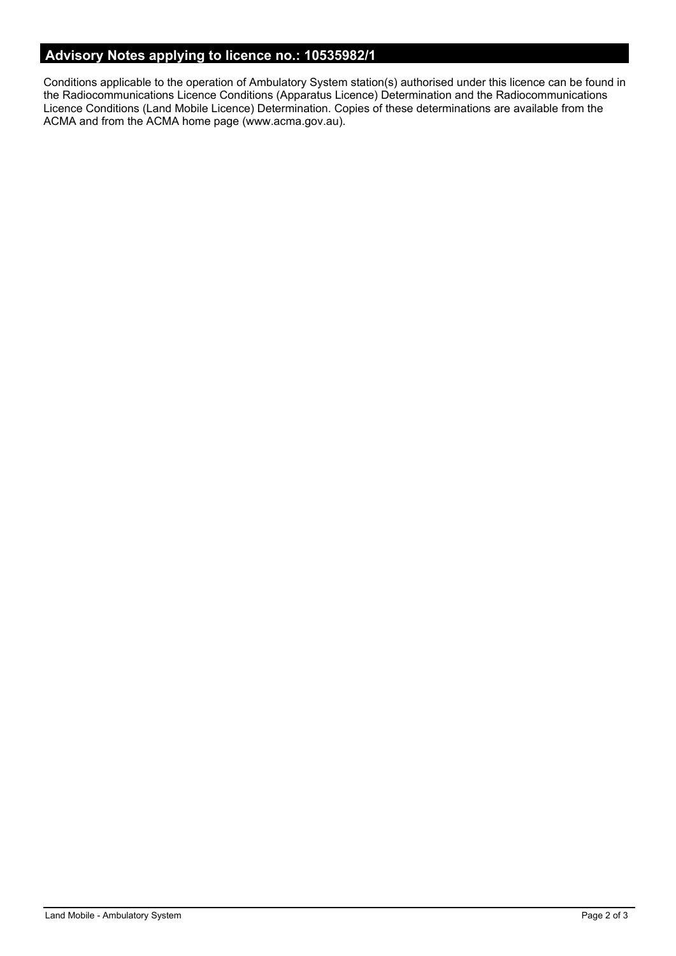# **Advisory Notes applying to licence no.: 10535982/1**

Conditions applicable to the operation of Ambulatory System station(s) authorised under this licence can be found in the Radiocommunications Licence Conditions (Apparatus Licence) Determination and the Radiocommunications Licence Conditions (Land Mobile Licence) Determination. Copies of these determinations are available from the ACMA and from the ACMA home page (www.acma.gov.au).